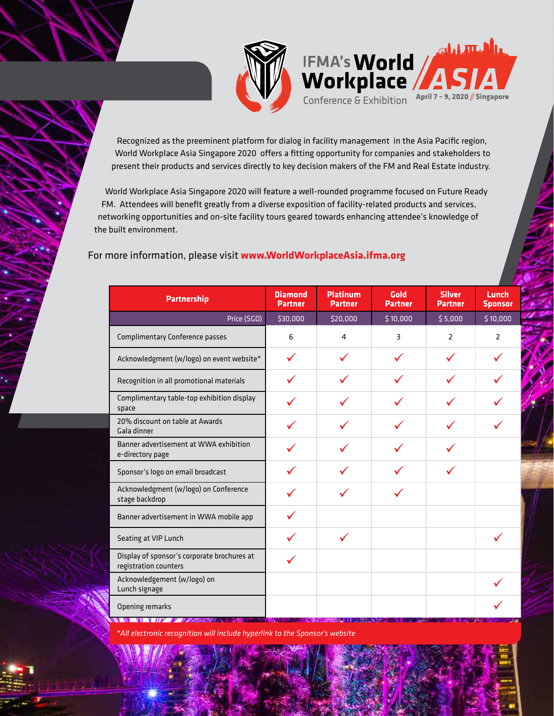

IFMA's World Conference & Exhibition April 7 - 9, 2020 // Singapore

Recognized as the preeminent platform for dialog in facility management in the Asia Pacific region, World Workplace Asia Singapore 2020 offers a fitting opportunity for companies and stakeholders to present their products and services directly to key decision makers of the FM and Real Estate industry.

World Workplace Asia Singapore 2020 will feature a well-rounded programme focused on Future Ready FM. Attendees will benefit greatly from a diverse exposition of facility-related products and services, networking opportunities and on-site facility tours geared towards enhancing attendee's knowledge of the built environment.

## For more information, please visit **www.WorldWorkplaceAsia.ifma.org**

| <b>Partnership</b>                                                   | <b>Diamond</b><br><b>Partner</b> | <b>Platinum</b><br><b>Partner</b> | Gold<br><b>Partner</b> | <b>Silver</b><br><b>Partner</b> | Lunch<br><b>Sponsor</b> |
|----------------------------------------------------------------------|----------------------------------|-----------------------------------|------------------------|---------------------------------|-------------------------|
| Price (SGD)                                                          | \$30,000                         | \$20,000                          | \$10,000               | \$5,000                         | \$10,000                |
| <b>Complimentary Conference passes</b>                               | 6                                | 4                                 | 3                      | $\overline{2}$                  | $\overline{2}$          |
| Acknowledgment (w/logo) on event website*                            | ✓                                |                                   |                        | ✓                               |                         |
| Recognition in all promotional materials                             |                                  |                                   |                        |                                 |                         |
| Complimentary table-top exhibition display<br>space                  |                                  |                                   |                        |                                 |                         |
| 20% discount on table at Awards<br>Gala dinner                       |                                  |                                   |                        |                                 |                         |
| Banner advertisement at WWA exhibition<br>e-directory page           |                                  |                                   |                        |                                 |                         |
| Sponsor's logo on email broadcast                                    |                                  |                                   |                        |                                 |                         |
| Acknowledgment (w/logo) on Conference<br>stage backdrop              |                                  |                                   |                        |                                 |                         |
| Banner advertisement in WWA mobile app                               |                                  |                                   |                        |                                 |                         |
| Seating at VIP Lunch                                                 |                                  | ✓                                 |                        |                                 |                         |
| Display of sponsor's corporate brochures at<br>registration counters |                                  |                                   |                        |                                 |                         |
| Acknowledgement (w/logo) on<br>Lunch signage                         |                                  |                                   |                        |                                 |                         |
| Opening remarks                                                      |                                  |                                   |                        |                                 |                         |

*\*All electronic recognition will include hyperlink to the Sponsor's website*